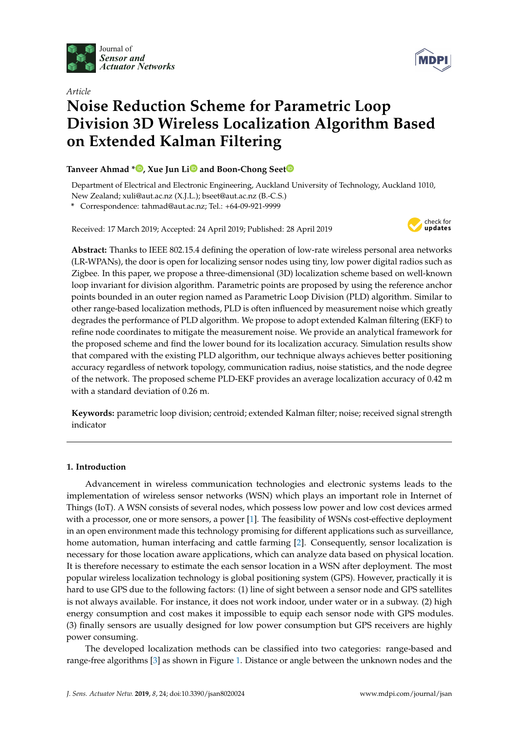



# *Article* **Noise Reduction Scheme for Parametric Loop Division 3D Wireless Localization Algorithm Based on Extended Kalman Filtering**

## **Tanveer Ahmad [\\*](https://orcid.org/0000-0002-0594-652X) , Xue Jun L[i](https://orcid.org/0000-0003-2241-0767) and Boon-Chong See[t](https://orcid.org/0000-0002-9511-7521)**

Department of Electrical and Electronic Engineering, Auckland University of Technology, Auckland 1010, New Zealand; xuli@aut.ac.nz (X.J.L.); bseet@aut.ac.nz (B.-C.S.)

**\*** Correspondence: tahmad@aut.ac.nz; Tel.: +64-09-921-9999

Received: 17 March 2019; Accepted: 24 April 2019; Published: 28 April 2019



**Abstract:** Thanks to IEEE 802.15.4 defining the operation of low-rate wireless personal area networks (LR-WPANs), the door is open for localizing sensor nodes using tiny, low power digital radios such as Zigbee. In this paper, we propose a three-dimensional (3D) localization scheme based on well-known loop invariant for division algorithm. Parametric points are proposed by using the reference anchor points bounded in an outer region named as Parametric Loop Division (PLD) algorithm. Similar to other range-based localization methods, PLD is often influenced by measurement noise which greatly degrades the performance of PLD algorithm. We propose to adopt extended Kalman filtering (EKF) to refine node coordinates to mitigate the measurement noise. We provide an analytical framework for the proposed scheme and find the lower bound for its localization accuracy. Simulation results show that compared with the existing PLD algorithm, our technique always achieves better positioning accuracy regardless of network topology, communication radius, noise statistics, and the node degree of the network. The proposed scheme PLD-EKF provides an average localization accuracy of 0.42 m with a standard deviation of 0.26 m.

**Keywords:** parametric loop division; centroid; extended Kalman filter; noise; received signal strength indicator

## **1. Introduction**

Advancement in wireless communication technologies and electronic systems leads to the implementation of wireless sensor networks (WSN) which plays an important role in Internet of Things (IoT). A WSN consists of several nodes, which possess low power and low cost devices armed with a processor, one or more sensors, a power [\[1\]](#page-12-0). The feasibility of WSNs cost-effective deployment in an open environment made this technology promising for different applications such as surveillance, home automation, human interfacing and cattle farming [\[2\]](#page-12-1). Consequently, sensor localization is necessary for those location aware applications, which can analyze data based on physical location. It is therefore necessary to estimate the each sensor location in a WSN after deployment. The most popular wireless localization technology is global positioning system (GPS). However, practically it is hard to use GPS due to the following factors: (1) line of sight between a sensor node and GPS satellites is not always available. For instance, it does not work indoor, under water or in a subway. (2) high energy consumption and cost makes it impossible to equip each sensor node with GPS modules. (3) finally sensors are usually designed for low power consumption but GPS receivers are highly power consuming.

The developed localization methods can be classified into two categories: range-based and range-free algorithms [\[3\]](#page-12-2) as shown in Figure [1.](#page-1-0) Distance or angle between the unknown nodes and the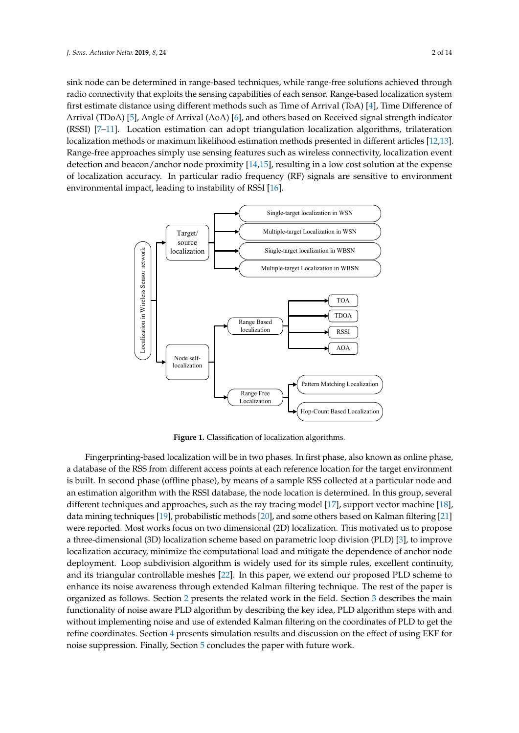sink node can be determined in range-based techniques, while range-free solutions achieved through radio connectivity that exploits the sensing capabilities of each sensor. Range-based localization system first estimate distance using different methods such as Time of Arrival (ToA) [\[4\]](#page-12-3), Time Difference of Arrival (TDoA) [\[5\]](#page-12-4), Angle of Arrival (AoA) [\[6\]](#page-12-5), and others based on Received signal strength indicator (RSSI) [\[7](#page-12-6)[–11\]](#page-13-0). Location estimation can adopt triangulation localization algorithms, trilateration localization methods or maximum likelihood estimation methods presented in different articles [\[12](#page-13-1)[,13\]](#page-13-2). Range-free approaches simply use sensing features such as wireless connectivity, localization event detection and beacon/anchor node proximity [\[14](#page-13-3)[,15\]](#page-13-4), resulting in a low cost solution at the expense of localization accuracy. In particular radio frequency (RF) signals are sensitive to environment environmental impact, leading to instability of RSSI [\[16\]](#page-13-5).

<span id="page-1-0"></span>

**Figure 1.** Classification of localization algorithms.

Fingerprinting-based localization will be in two phases. In first phase, also known as online phase, a database of the RSS from different access points at each reference location for the target environment is built. In second phase (offline phase), by means of a sample RSS collected at a particular node and an estimation algorithm with the RSSI database, the node location is determined. In this group, several different techniques and approaches, such as the ray tracing model [\[17\]](#page-13-6), support vector machine [\[18\]](#page-13-7), data mining techniques [\[19\]](#page-13-8), probabilistic methods [\[20\]](#page-13-9), and some others based on Kalman filtering [\[21\]](#page-13-10) were reported. Most works focus on two dimensional (2D) localization. This motivated us to propose a three-dimensional (3D) localization scheme based on parametric loop division (PLD) [\[3\]](#page-12-2), to improve localization accuracy, minimize the computational load and mitigate the dependence of anchor node deployment. Loop subdivision algorithm is widely used for its simple rules, excellent continuity, and its triangular controllable meshes [\[22\]](#page-13-11). In this paper, we extend our proposed PLD scheme to enhance its noise awareness through extended Kalman filtering technique. The rest of the paper is organized as follows. Section [2](#page-2-0) presents the related work in the field. Section [3](#page-2-1) describes the main functionality of noise aware PLD algorithm by describing the key idea, PLD algorithm steps with and without implementing noise and use of extended Kalman filtering on the coordinates of PLD to get the refine coordinates. Section [4](#page-8-0) presents simulation results and discussion on the effect of using EKF for noise suppression. Finally, Section [5](#page-11-0) concludes the paper with future work.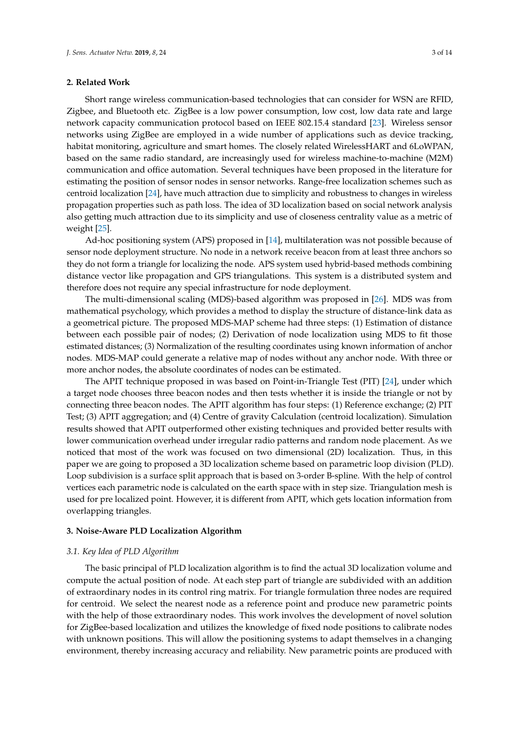#### <span id="page-2-0"></span>**2. Related Work**

Short range wireless communication-based technologies that can consider for WSN are RFID, Zigbee, and Bluetooth etc. ZigBee is a low power consumption, low cost, low data rate and large network capacity communication protocol based on IEEE 802.15.4 standard [\[23\]](#page-13-12). Wireless sensor networks using ZigBee are employed in a wide number of applications such as device tracking, habitat monitoring, agriculture and smart homes. The closely related WirelessHART and 6LoWPAN, based on the same radio standard, are increasingly used for wireless machine-to-machine (M2M) communication and office automation. Several techniques have been proposed in the literature for estimating the position of sensor nodes in sensor networks. Range-free localization schemes such as centroid localization [\[24\]](#page-13-13), have much attraction due to simplicity and robustness to changes in wireless propagation properties such as path loss. The idea of 3D localization based on social network analysis also getting much attraction due to its simplicity and use of closeness centrality value as a metric of weight [\[25\]](#page-13-14).

Ad-hoc positioning system (APS) proposed in [\[14\]](#page-13-3), multilateration was not possible because of sensor node deployment structure. No node in a network receive beacon from at least three anchors so they do not form a triangle for localizing the node. APS system used hybrid-based methods combining distance vector like propagation and GPS triangulations. This system is a distributed system and therefore does not require any special infrastructure for node deployment.

The multi-dimensional scaling (MDS)-based algorithm was proposed in [\[26\]](#page-13-15). MDS was from mathematical psychology, which provides a method to display the structure of distance-link data as a geometrical picture. The proposed MDS-MAP scheme had three steps: (1) Estimation of distance between each possible pair of nodes; (2) Derivation of node localization using MDS to fit those estimated distances; (3) Normalization of the resulting coordinates using known information of anchor nodes. MDS-MAP could generate a relative map of nodes without any anchor node. With three or more anchor nodes, the absolute coordinates of nodes can be estimated.

The APIT technique proposed in was based on Point-in-Triangle Test (PIT) [\[24\]](#page-13-13), under which a target node chooses three beacon nodes and then tests whether it is inside the triangle or not by connecting three beacon nodes. The APIT algorithm has four steps: (1) Reference exchange; (2) PIT Test; (3) APIT aggregation; and (4) Centre of gravity Calculation (centroid localization). Simulation results showed that APIT outperformed other existing techniques and provided better results with lower communication overhead under irregular radio patterns and random node placement. As we noticed that most of the work was focused on two dimensional (2D) localization. Thus, in this paper we are going to proposed a 3D localization scheme based on parametric loop division (PLD). Loop subdivision is a surface split approach that is based on 3-order B-spline. With the help of control vertices each parametric node is calculated on the earth space with in step size. Triangulation mesh is used for pre localized point. However, it is different from APIT, which gets location information from overlapping triangles.

#### <span id="page-2-1"></span>**3. Noise-Aware PLD Localization Algorithm**

#### *3.1. Key Idea of PLD Algorithm*

The basic principal of PLD localization algorithm is to find the actual 3D localization volume and compute the actual position of node. At each step part of triangle are subdivided with an addition of extraordinary nodes in its control ring matrix. For triangle formulation three nodes are required for centroid. We select the nearest node as a reference point and produce new parametric points with the help of those extraordinary nodes. This work involves the development of novel solution for ZigBee-based localization and utilizes the knowledge of fixed node positions to calibrate nodes with unknown positions. This will allow the positioning systems to adapt themselves in a changing environment, thereby increasing accuracy and reliability. New parametric points are produced with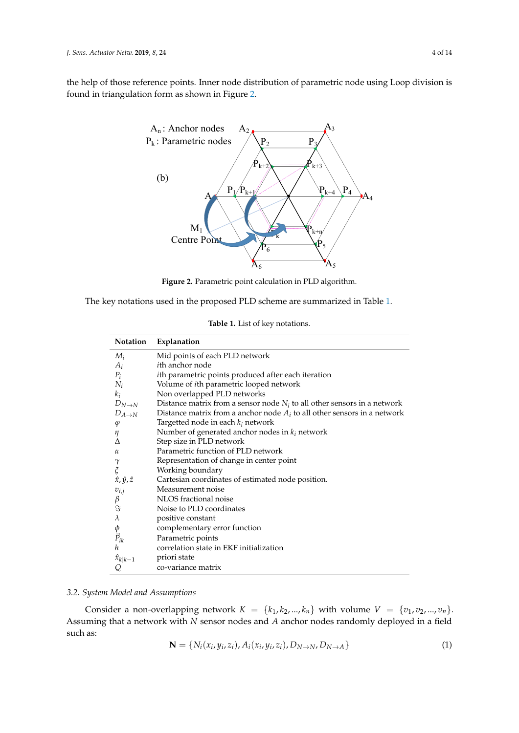<span id="page-3-0"></span>the help of those reference points. Inner node distribution of parametric node using Loop division is found in triangulation form as shown in Figure [2.](#page-3-0)



**Figure 2.** Parametric point calculation in PLD algorithm.

<span id="page-3-1"></span>The key notations used in the proposed PLD scheme are summarized in Table [1.](#page-3-1)

**Table 1.** List of key notations.

| Notation                     | Explanation                                                                |
|------------------------------|----------------------------------------------------------------------------|
| $M_i$                        | Mid points of each PLD network                                             |
| $A_i$                        | <i>i</i> th anchor node                                                    |
| $P_i$                        | ith parametric points produced after each iteration                        |
| $N_i$                        | Volume of <i>i</i> th parametric looped network                            |
| $k_i$                        | Non overlapped PLD networks                                                |
| $D_{N\to N}$                 | Distance matrix from a sensor node $N_i$ to all other sensors in a network |
| $D_{A\to N}$                 | Distance matrix from a anchor node $A_i$ to all other sensors in a network |
| $\varphi$                    | Targetted node in each $k_i$ network                                       |
| η                            | Number of generated anchor nodes in $k_i$ network                          |
| Λ                            | Step size in PLD network                                                   |
| α                            | Parametric function of PLD network                                         |
| $\gamma$                     | Representation of change in center point                                   |
| $\boldsymbol{\tilde{\zeta}}$ | Working boundary                                                           |
| $\hat{x}, \hat{y}, \hat{z}$  | Cartesian coordinates of estimated node position.                          |
| $v_{i,j}$                    | Measurement noise                                                          |
| $\frac{\beta}{\Im}$          | NLOS fractional noise                                                      |
|                              | Noise to PLD coordinates                                                   |
| $\lambda$                    | positive constant                                                          |
|                              | complementary error function                                               |
| $\phi$<br>$\vec{P}_{ik}$     | Parametric points                                                          |
| h                            | correlation state in EKF initialization                                    |
| $\hat{x}_{k k-1}$            | priori state                                                               |
| Q                            | co-variance matrix                                                         |

# *3.2. System Model and Assumptions*

Consider a non-overlapping network  $K = \{k_1, k_2, ..., k_n\}$  with volume  $V = \{v_1, v_2, ..., v_n\}$ . Assuming that a network with *N* sensor nodes and *A* anchor nodes randomly deployed in a field such as:

$$
\mathbf{N} = \{N_i(x_i, y_i, z_i), A_i(x_i, y_i, z_i), D_{N \to N}, D_{N \to A}\}\
$$
(1)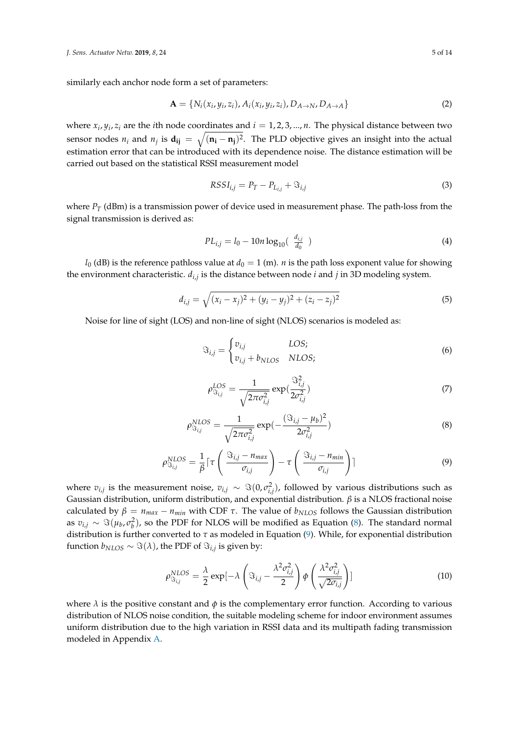similarly each anchor node form a set of parameters:

$$
\mathbf{A} = \{N_i(x_i, y_i, z_i), A_i(x_i, y_i, z_i), D_{A \to N}, D_{A \to A}\}\
$$
 (2)

where  $x_i$ ,  $y_i$ ,  $z_i$  are the *i*th node coordinates and  $i = 1, 2, 3, ..., n$ . The physical distance between two sensor nodes  $n_i$  and  $n_j$  is  $\mathbf{d_{ij}} = \sqrt{(\mathbf{n_i} - \mathbf{n_j})^2}$ . The PLD objective gives an insight into the actual estimation error that can be introduced with its dependence noise. The distance estimation will be carried out based on the statistical RSSI measurement model

$$
RSSI_{i,j} = P_T - P_{L_{i,j}} + \Im_{i,j}
$$
\n<sup>(3)</sup>

where  $P_T$  (dBm) is a transmission power of device used in measurement phase. The path-loss from the signal transmission is derived as:

$$
PL_{i,j} = l_0 - 10n \log_{10}(\frac{d_{i,j}}{d_0})
$$
\n(4)

*l*<sub>0</sub> (dB) is the reference pathloss value at  $d_0 = 1$  (m). *n* is the path loss exponent value for showing the environment characteristic. *di*,*<sup>j</sup>* is the distance between node *i* and *j* in 3D modeling system.

$$
d_{i,j} = \sqrt{(x_i - x_j)^2 + (y_i - y_j)^2 + (z_i - z_j)^2}
$$
\n(5)

Noise for line of sight (LOS) and non-line of sight (NLOS) scenarios is modeled as:

$$
\mathfrak{S}_{i,j} = \begin{cases} v_{i,j} & LOS; \\ v_{i,j} + b_{NLOS} & NLOS; \end{cases} \tag{6}
$$

$$
\rho_{\mathfrak{S}_{i,j}}^{LOS} = \frac{1}{\sqrt{2\pi\sigma_{i,j}^2}} \exp(\frac{\mathfrak{S}_{i,j}^2}{2\sigma_{i,j}^2})
$$
(7)

<span id="page-4-0"></span>
$$
\rho_{\mathcal{S}_{i,j}}^{NLOS} = \frac{1}{\sqrt{2\pi\sigma_{i,j}^2}} \exp(-\frac{(\mathcal{S}_{i,j} - \mu_b)^2}{2\sigma_{i,j}^2})
$$
(8)

<span id="page-4-1"></span>
$$
\rho_{\mathfrak{F}_{i,j}}^{NLOS} = \frac{1}{\beta} \lceil \tau \left( \frac{\mathfrak{F}_{i,j} - n_{max}}{\sigma_{i,j}} \right) - \tau \left( \frac{\mathfrak{F}_{i,j} - n_{min}}{\sigma_{i,j}} \right) \rceil \tag{9}
$$

where  $v_{i,j}$  is the measurement noise,  $v_{i,j} \sim \Im(0, \sigma_{i,j}^2)$ , followed by various distributions such as Gaussian distribution, uniform distribution, and exponential distribution. *β* is a NLOS fractional noise calculated by  $\beta = n_{max} - n_{min}$  with CDF  $\tau$ . The value of  $b_{NLOS}$  follows the Gaussian distribution as  $v_{i,j} \sim \Im(\mu_b, \sigma_b^2)$ , so the PDF for NLOS will be modified as Equation [\(8\)](#page-4-0). The standard normal distribution is further converted to *τ* as modeled in Equation [\(9\)](#page-4-1). While, for exponential distribution function  $b_{NLOS} \sim \Im(\lambda)$ , the PDF of  $\Im_{i,j}$  is given by:

$$
\rho_{\mathcal{S}_{i,j}}^{NLOS} = \frac{\lambda}{2} \exp[-\lambda \left(\mathcal{S}_{i,j} - \frac{\lambda^2 \sigma_{i,j}^2}{2}\right) \phi \left(\frac{\lambda^2 \sigma_{i,j}^2}{\sqrt{2\sigma_{i,j}}}\right)]
$$
(10)

where  $\lambda$  is the positive constant and  $\phi$  is the complementary error function. According to various distribution of NLOS noise condition, the suitable modeling scheme for indoor environment assumes uniform distribution due to the high variation in RSSI data and its multipath fading transmission modeled in Appendix [A.](#page-11-1)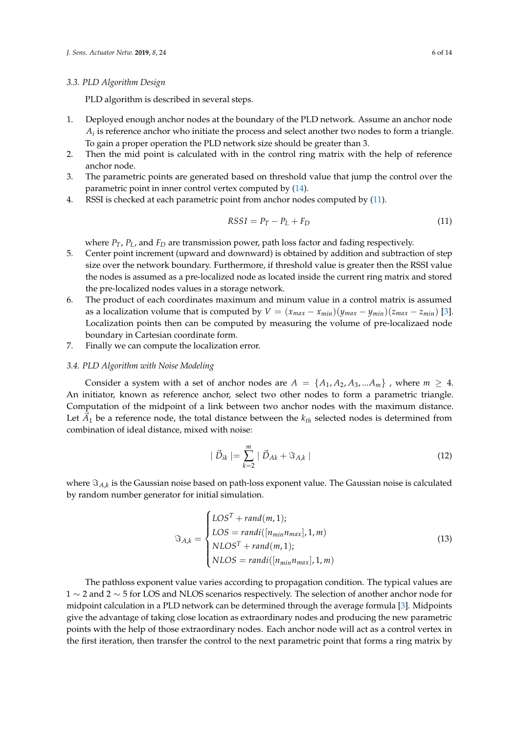#### *3.3. PLD Algorithm Design*

PLD algorithm is described in several steps.

- 1. Deployed enough anchor nodes at the boundary of the PLD network. Assume an anchor node  $A_i$  is reference anchor who initiate the process and select another two nodes to form a triangle. To gain a proper operation the PLD network size should be greater than 3.
- 2. Then the mid point is calculated with in the control ring matrix with the help of reference anchor node.
- 3. The parametric points are generated based on threshold value that jump the control over the parametric point in inner control vertex computed by [\(14\)](#page-6-0).
- 4. RSSI is checked at each parametric point from anchor nodes computed by [\(11\)](#page-5-0).

<span id="page-5-0"></span>
$$
RSSI = P_T - P_L + F_D \tag{11}
$$

where *PT*, *PL*, and *F<sup>D</sup>* are transmission power, path loss factor and fading respectively.

- 5. Center point increment (upward and downward) is obtained by addition and subtraction of step size over the network boundary. Furthermore, if threshold value is greater then the RSSI value the nodes is assumed as a pre-localized node as located inside the current ring matrix and stored the pre-localized nodes values in a storage network.
- 6. The product of each coordinates maximum and minum value in a control matrix is assumed as a localization volume that is computed by  $V = (x_{max} - x_{min})(y_{max} - y_{min})(z_{max} - z_{min})$  [\[3\]](#page-12-2). Localization points then can be computed by measuring the volume of pre-localizaed node boundary in Cartesian coordinate form.
- 7. Finally we can compute the localization error.

#### *3.4. PLD Algorithm with Noise Modeling*

Consider a system with a set of anchor nodes are  $A = \{A_1, A_2, A_3, ... A_m\}$ , where  $m \geq 4$ . An initiator, known as reference anchor, select two other nodes to form a parametric triangle. Computation of the midpoint of a link between two anchor nodes with the maximum distance. Let  $\vec{A}_1$  be a reference node, the total distance between the  $k_{th}$  selected nodes is determined from combination of ideal distance, mixed with noise:

$$
|\vec{D}_{ik}| = \sum_{k=2}^{m} |\vec{D}_{Ak} + \Im_{A,k}| \tag{12}
$$

where  $\Im_{A,k}$  is the Gaussian noise based on path-loss exponent value. The Gaussian noise is calculated by random number generator for initial simulation.

$$
\mathfrak{F}_{A,k} = \begin{cases} LOS^{T} + rand(m,1); \\ LOS = randi([n_{min}n_{max}], 1, m) \\ NLOS^{T} + rand(m,1); \\ NLOS = randi([n_{min}n_{max}], 1, m) \end{cases}
$$
(13)

The pathloss exponent value varies according to propagation condition. The typical values are 1 ∼ 2 and 2 ∼ 5 for LOS and NLOS scenarios respectively. The selection of another anchor node for midpoint calculation in a PLD network can be determined through the average formula [\[3\]](#page-12-2). Midpoints give the advantage of taking close location as extraordinary nodes and producing the new parametric points with the help of those extraordinary nodes. Each anchor node will act as a control vertex in the first iteration, then transfer the control to the next parametric point that forms a ring matrix by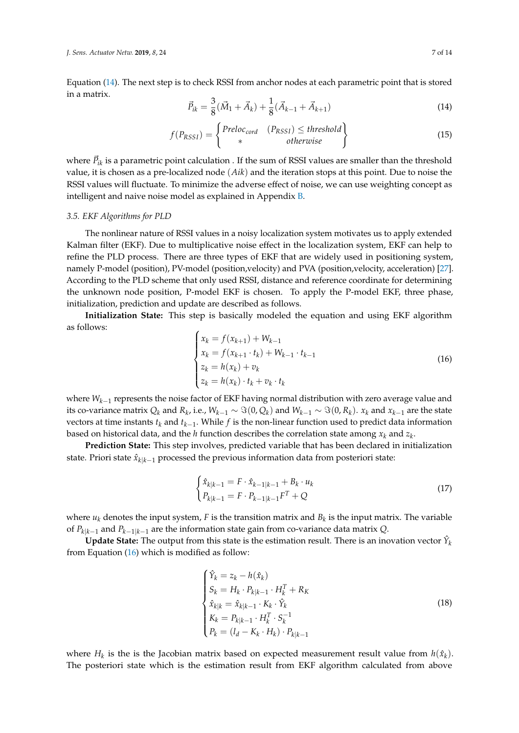Equation [\(14\)](#page-6-0). The next step is to check RSSI from anchor nodes at each parametric point that is stored in a matrix.

<span id="page-6-0"></span>
$$
\vec{P}_{ik} = \frac{3}{8}(\vec{M}_1 + \vec{A}_k) + \frac{1}{8}(\vec{A}_{k-1} + \vec{A}_{k+1})
$$
\n(14)

$$
f(P_{RSSI}) = \begin{cases} Preloc_{cord} & (P_{RSSI}) \le threshold \\ * & otherwise \end{cases}
$$
 (15)

where  $\vec{P}_{ik}$  is a parametric point calculation . If the sum of RSSI values are smaller than the threshold value, it is chosen as a pre-localized node (*Aik*) and the iteration stops at this point. Due to noise the RSSI values will fluctuate. To minimize the adverse effect of noise, we can use weighting concept as intelligent and naive noise model as explained in Appendix [B.](#page-12-7)

#### *3.5. EKF Algorithms for PLD*

The nonlinear nature of RSSI values in a noisy localization system motivates us to apply extended Kalman filter (EKF). Due to multiplicative noise effect in the localization system, EKF can help to refine the PLD process. There are three types of EKF that are widely used in positioning system, namely P-model (position), PV-model (position,velocity) and PVA (position,velocity, acceleration) [\[27\]](#page-13-16). According to the PLD scheme that only used RSSI, distance and reference coordinate for determining the unknown node position, P-model EKF is chosen. To apply the P-model EKF, three phase, initialization, prediction and update are described as follows.

**Initialization State:** This step is basically modeled the equation and using EKF algorithm as follows:

<span id="page-6-1"></span>
$$
\begin{cases}\n x_k = f(x_{k+1}) + W_{k-1} \\
 x_k = f(x_{k+1} \cdot t_k) + W_{k-1} \cdot t_{k-1} \\
 z_k = h(x_k) + v_k \\
 z_k = h(x_k) \cdot t_k + v_k \cdot t_k\n\end{cases}
$$
\n(16)

where *Wk*−<sup>1</sup> represents the noise factor of EKF having normal distribution with zero average value and its co-variance matrix  $Q_k$  and  $R_k$ , i.e.,  $W_{k-1} \sim \Im(0, Q_k)$  and  $W_{k-1} \sim \Im(0, R_k)$ .  $x_k$  and  $x_{k-1}$  are the state vectors at time instants *t<sup>k</sup>* and *tk*−<sup>1</sup> . While *f* is the non-linear function used to predict data information based on historical data, and the  $h$  function describes the correlation state among  $x_k$  and  $z_k$ .

**Prediction State:** This step involves, predicted variable that has been declared in initialization state. Priori state  $\hat{x}_{k|k-1}$  processed the previous information data from posteriori state:

$$
\begin{cases} \hat{x}_{k|k-1} = F \cdot \hat{x}_{k-1|k-1} + B_k \cdot u_k \\ P_{k|k-1} = F \cdot P_{k-1|k-1} F^T + Q \end{cases}
$$
\n(17)

where  $u_k$  denotes the input system, F is the transition matrix and  $B_k$  is the input matrix. The variable of *Pk*|*k*−<sup>1</sup> and *Pk*−1|*k*−<sup>1</sup> are the information state gain from co-variance data matrix *Q*.

 ${\bf Update\ State:}$  The output from this state is the estimation result. There is an inovation vector  $\hat{Y}_k$ from Equation [\(16\)](#page-6-1) which is modified as follow:

<span id="page-6-2"></span>
$$
\begin{cases}\n\hat{Y}_k = z_k - h(\hat{x}_k) \\
S_k = H_k \cdot P_{k|k-1} \cdot H_k^T + R_K \\
\hat{x}_{k|k} = \hat{x}_{k|k-1} \cdot K_k \cdot \hat{Y}_k \\
K_k = P_{k|k-1} \cdot H_k^T \cdot S_k^{-1} \\
P_k = (I_d - K_k \cdot H_k) \cdot P_{k|k-1}\n\end{cases}
$$
\n(18)

where  $H_k$  is the is the Jacobian matrix based on expected measurement result value from  $h(\hat{x}_k)$ . The posteriori state which is the estimation result from EKF algorithm calculated from above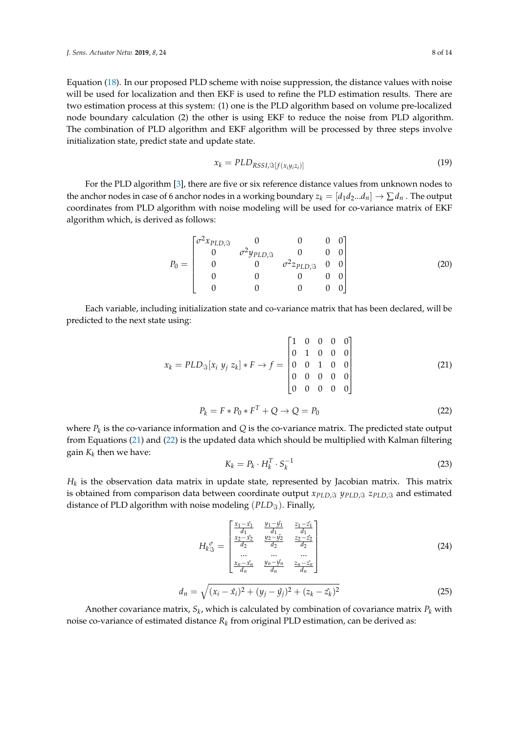Equation [\(18\)](#page-6-2). In our proposed PLD scheme with noise suppression, the distance values with noise will be used for localization and then EKF is used to refine the PLD estimation results. There are two estimation process at this system: (1) one is the PLD algorithm based on volume pre-localized node boundary calculation (2) the other is using EKF to reduce the noise from PLD algorithm. The combination of PLD algorithm and EKF algorithm will be processed by three steps involve initialization state, predict state and update state.

$$
x_k = PLD_{RSSI, \Im[f(x_i y_i z_i)]}
$$
\n(19)

For the PLD algorithm [\[3\]](#page-12-2), there are five or six reference distance values from unknown nodes to the anchor nodes in case of 6 anchor nodes in a working boundary  $z_k = [d_1 d_2 ... d_n] \rightarrow \sum d_n$ . The output coordinates from PLD algorithm with noise modeling will be used for co-variance matrix of EKF algorithm which, is derived as follows:

$$
P_0 = \begin{bmatrix} \sigma^2 x_{PLD, \Im} & 0 & 0 & 0 & 0 \\ 0 & \sigma^2 y_{PLD, \Im} & 0 & 0 & 0 \\ 0 & 0 & \sigma^2 z_{PLD, \Im} & 0 & 0 \\ 0 & 0 & 0 & 0 & 0 \\ 0 & 0 & 0 & 0 & 0 \end{bmatrix}
$$
(20)

Each variable, including initialization state and co-variance matrix that has been declared, will be predicted to the next state using:

<span id="page-7-0"></span>
$$
x_k = PLD_{\Im}[x_i y_j z_k] * F \rightarrow f = \begin{bmatrix} 1 & 0 & 0 & 0 & 0 \\ 0 & 1 & 0 & 0 & 0 \\ 0 & 0 & 1 & 0 & 0 \\ 0 & 0 & 0 & 0 & 0 \\ 0 & 0 & 0 & 0 & 0 \end{bmatrix}
$$
(21)

<span id="page-7-1"></span>
$$
P_k = F * P_0 * F^T + Q \to Q = P_0 \tag{22}
$$

where  $P_k$  is the co-variance information and  $Q$  is the co-variance matrix. The predicted state output from Equations [\(21\)](#page-7-0) and [\(22\)](#page-7-1) is the updated data which should be multiplied with Kalman filtering gain *K<sup>k</sup>* then we have:

$$
K_k = P_k \cdot H_k^T \cdot S_k^{-1} \tag{23}
$$

 $H_k$  is the observation data matrix in update state, represented by Jacobian matrix. This matrix is obtained from comparison data between coordinate output  $x_{PLD,3}$   $y_{PLD,3}$   $z_{PLD,3}$  and estimated distance of PLD algorithm with noise modeling (*PLD*<sub>S</sub>). Finally,

$$
H_{k_{\Im}^{\sigma}} = \begin{bmatrix} \frac{x_1 - \hat{x_1}}{d_1} & \frac{y_1 - \hat{y_1}}{d_1} & \frac{z_1 - \hat{z_1}}{d_1} \\ \frac{x_2 - \hat{x_2}}{d_2} & \frac{y_2 - \hat{y_2}}{d_2} & \frac{z_2 - \hat{z_2}}{d_2} \\ \dots & \dots & \dots \\ \frac{x_n - \hat{x_n}}{d_n} & \frac{y_n - \hat{y_n}}{d_n} & \frac{z_n - \hat{z_n}}{d_n} \end{bmatrix}
$$
(24)

$$
d_n = \sqrt{(x_i - \hat{x}_i)^2 + (y_j - \hat{y}_j)^2 + (z_k - \hat{z}_k)^2}
$$
 (25)

Another covariance matrix,  $S_k$ , which is calculated by combination of covariance matrix  $P_k$  with noise co-variance of estimated distance  $R_k$  from original PLD estimation, can be derived as: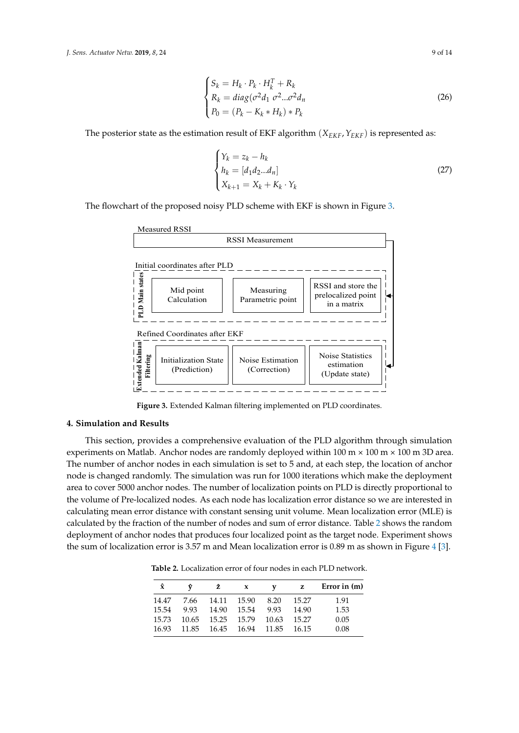$$
\begin{cases}\nS_k = H_k \cdot P_k \cdot H_k^T + R_k \\
R_k = diag(\sigma^2 d_1 \sigma^2 ... \sigma^2 d_n) \\
P_0 = (P_k - K_k * H_k) * P_k\n\end{cases}
$$
\n(26)

The posterior state as the estimation result of EKF algorithm (*XEKF*,*YEKF*) is represented as:

$$
\begin{cases} Y_k = z_k - h_k \\ h_k = [d_1 d_2 \dots d_n] \\ X_{k+1} = X_k + K_k \cdot Y_k \end{cases}
$$
 (27)

<span id="page-8-1"></span>The flowchart of the proposed noisy PLD scheme with EKF is shown in Figure [3.](#page-8-1)



**Figure 3.** Extended Kalman filtering implemented on PLD coordinates.

#### <span id="page-8-0"></span>**4. Simulation and Results**

This section, provides a comprehensive evaluation of the PLD algorithm through simulation experiments on Matlab. Anchor nodes are randomly deployed within  $100 \text{ m} \times 100 \text{ m} \times 100 \text{ m}$  3D area. The number of anchor nodes in each simulation is set to 5 and, at each step, the location of anchor node is changed randomly. The simulation was run for 1000 iterations which make the deployment area to cover 5000 anchor nodes. The number of localization points on PLD is directly proportional to the volume of Pre-localized nodes. As each node has localization error distance so we are interested in calculating mean error distance with constant sensing unit volume. Mean localization error (MLE) is calculated by the fraction of the number of nodes and sum of error distance. Table [2](#page-8-2) shows the random deployment of anchor nodes that produces four localized point as the target node. Experiment shows the sum of localization error is 3.57 m and Mean localization error is 0.89 m as shown in Figure [4](#page-9-0) [\[3\]](#page-12-2).

<span id="page-8-2"></span>**Table 2.** Localization error of four nodes in each PLD network.

| Ŷ     | ŷ     | ź.    | X     | v     | z     | Error in $(m)$ |
|-------|-------|-------|-------|-------|-------|----------------|
| 14.47 | 7.66  | 14.11 | 15.90 | 8.20  | 15.27 | 1.91           |
| 15.54 | 9.93  | 14.90 | 15.54 | 9.93  | 14.90 | 1.53           |
| 15.73 | 10.65 | 15.25 | 15.79 | 10.63 | 15.27 | 0.05           |
| 16.93 | 11.85 | 16.45 | 16.94 | 11.85 | 16.15 | 0.08           |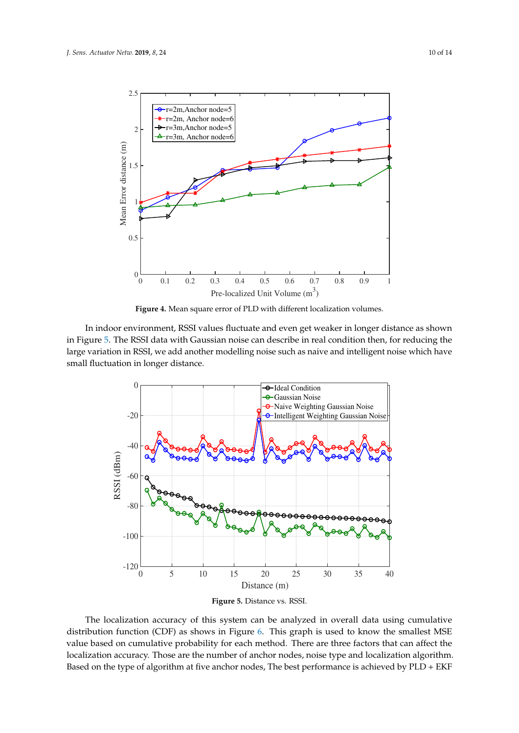<span id="page-9-0"></span>

**Figure 4.** Mean square error of PLD with different localization volumes.

In indoor environment, RSSI values fluctuate and even get weaker in longer distance as shown in Figure [5.](#page-9-1) The RSSI data with Gaussian noise can describe in real condition then, for reducing the large variation in RSSI, we add another modelling noise such as naive and intelligent noise which have small fluctuation in longer distance.

<span id="page-9-1"></span>

**Figure 5.** Distance vs. RSSI.

The localization accuracy of this system can be analyzed in overall data using cumulative distribution function (CDF) as shows in Figure [6.](#page-10-0) This graph is used to know the smallest MSE value based on cumulative probability for each method. There are three factors that can affect the localization accuracy. Those are the number of anchor nodes, noise type and localization algorithm. Based on the type of algorithm at five anchor nodes, The best performance is achieved by PLD + EKF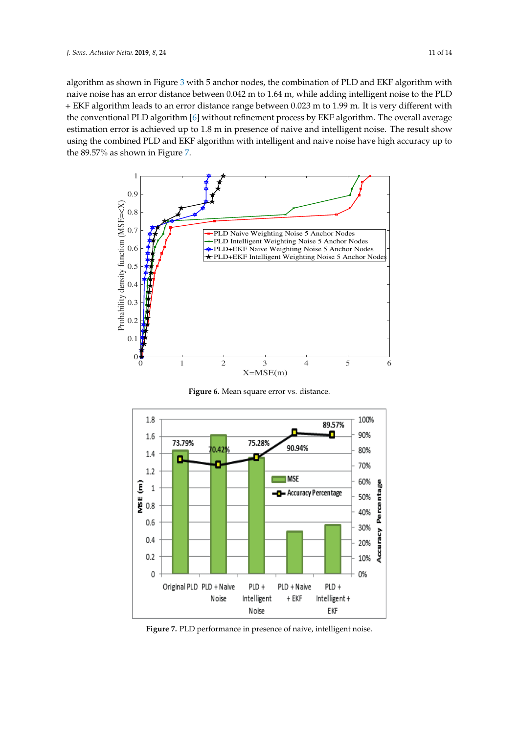algorithm as shown in Figure [3](#page-8-1) with 5 anchor nodes, the combination of PLD and EKF algorithm with naive noise has an error distance between 0.042 m to 1.64 m, while adding intelligent noise to the PLD + EKF algorithm leads to an error distance range between 0.023 m to 1.99 m. It is very different with the conventional PLD algorithm [\[6\]](#page-12-5) without refinement process by EKF algorithm. The overall average estimation error is achieved up to 1.8 m in presence of naive and intelligent noise. The result show using the combined PLD and EKF algorithm with intelligent and naive noise have high accuracy up to the 89.57% as shown in Figure [7.](#page-10-1)

<span id="page-10-0"></span>

**Figure 6.** Mean square error vs. distance.

<span id="page-10-1"></span>

**Figure 7.** PLD performance in presence of naive, intelligent noise.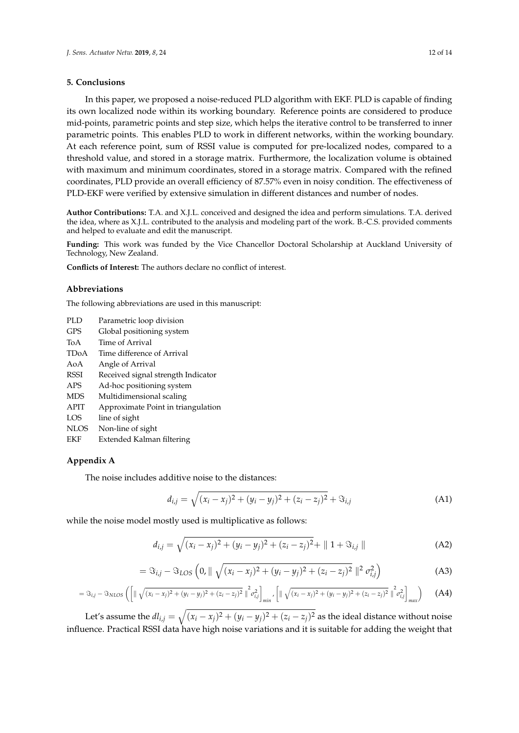#### <span id="page-11-0"></span>**5. Conclusions**

In this paper, we proposed a noise-reduced PLD algorithm with EKF. PLD is capable of finding its own localized node within its working boundary. Reference points are considered to produce mid-points, parametric points and step size, which helps the iterative control to be transferred to inner parametric points. This enables PLD to work in different networks, within the working boundary. At each reference point, sum of RSSI value is computed for pre-localized nodes, compared to a threshold value, and stored in a storage matrix. Furthermore, the localization volume is obtained with maximum and minimum coordinates, stored in a storage matrix. Compared with the refined coordinates, PLD provide an overall efficiency of 87.57% even in noisy condition. The effectiveness of PLD-EKF were verified by extensive simulation in different distances and number of nodes.

**Author Contributions:** T.A. and X.J.L. conceived and designed the idea and perform simulations. T.A. derived the idea, where as X.J.L. contributed to the analysis and modeling part of the work. B.-C.S. provided comments and helped to evaluate and edit the manuscript.

**Funding:** This work was funded by the Vice Chancellor Doctoral Scholarship at Auckland University of Technology, New Zealand.

**Conflicts of Interest:** The authors declare no conflict of interest.

#### **Abbreviations**

The following abbreviations are used in this manuscript:

| Parametric loop division<br>PLD. |  |  |
|----------------------------------|--|--|
|----------------------------------|--|--|

- GPS Global positioning system
- ToA Time of Arrival
- TDoA Time difference of Arrival
- AoA Angle of Arrival
- RSSI Received signal strength Indicator
- APS Ad-hoc positioning system
- MDS Multidimensional scaling
- APIT Approximate Point in triangulation
- LOS line of sight
- NLOS Non-line of sight
- EKF Extended Kalman filtering

### <span id="page-11-1"></span>**Appendix A**

The noise includes additive noise to the distances:

$$
d_{i,j} = \sqrt{(x_i - x_j)^2 + (y_i - y_j)^2 + (z_i - z_j)^2} + \Im_{i,j}
$$
 (A1)

while the noise model mostly used is multiplicative as follows:

$$
d_{i,j} = \sqrt{(x_i - x_j)^2 + (y_i - y_j)^2 + (z_i - z_j)^2} + || 1 + \Im_{i,j} ||
$$
 (A2)

$$
= \Im_{i,j} - \Im_{LOS} \left( 0, \| \sqrt{(x_i - x_j)^2 + (y_i - y_j)^2 + (z_i - z_j)^2} \|^2 \sigma_{i,j}^2 \right)
$$
 (A3)

$$
= \Im_{i,j} - \Im_{NLOS} \left( \left[ \|\sqrt{(x_i - x_j)^2 + (y_i - y_j)^2 + (z_i - z_j)^2} \|^2 \sigma_{i,j}^2 \right]_{min}, \left[ \|\sqrt{(x_i - x_j)^2 + (y_i - y_j)^2 + (z_i - z_j)^2} \|^2 \sigma_{i,j}^2 \right]_{max} \right)
$$
(A4)

Let's assume the  $dl_{i,j} = \sqrt{(x_i - x_j)^2 + (y_i - y_j)^2 + (z_i - z_j)^2}$  as the ideal distance without noise influence. Practical RSSI data have high noise variations and it is suitable for adding the weight that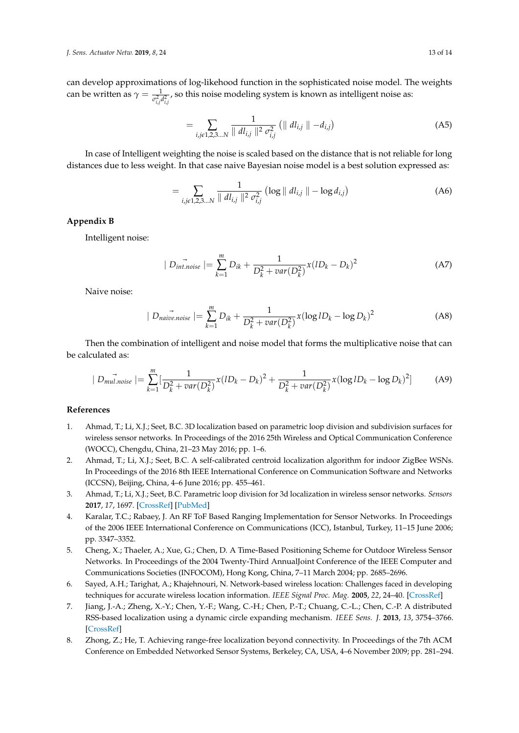can develop approximations of log-likehood function in the sophisticated noise model. The weights can be written as  $\gamma = \frac{1}{\sigma_{i,j}^2 d_{i,j}^2}$ , so this noise modeling system is known as intelligent noise as:

$$
= \sum_{i,j\in 1,2,3...N} \frac{1}{\| dl_{i,j} \|^{2} \sigma_{i,j}^{2}} \left( \| dl_{i,j} \| - d_{i,j} \right)
$$
 (A5)

In case of Intelligent weighting the noise is scaled based on the distance that is not reliable for long distances due to less weight. In that case naive Bayesian noise model is a best solution expressed as:

$$
= \sum_{i,j\in 1,2,3...N} \frac{1}{\| dl_{i,j} \|^{2} \sigma_{i,j}^{2}} \left( \log \| dl_{i,j} \| - \log d_{i,j} \right)
$$
 (A6)

#### <span id="page-12-7"></span>**Appendix B**

Intelligent noise:

$$
|D_{int, noise}| = \sum_{k=1}^{m} D_{ik} + \frac{1}{D_k^2 + var(D_k^2)} x (1D_k - D_k)^2
$$
 (A7)

Naive noise:

$$
|D_{naive.noise}| = \sum_{k=1}^{m} D_{ik} + \frac{1}{D_k^2 + var(D_k^2)} x(\log lD_k - \log D_k)^2
$$
 (A8)

Then the combination of intelligent and noise model that forms the multiplicative noise that can be calculated as:

$$
| D_{mul.noise} | = \sum_{k=1}^{m} \left[ \frac{1}{D_k^2 + var(D_k^2)} x (lD_k - D_k)^2 + \frac{1}{D_k^2 + var(D_k^2)} x (\log lD_k - \log D_k)^2 \right]
$$
 (A9)

#### **References**

- <span id="page-12-0"></span>1. Ahmad, T.; Li, X.J.; Seet, B.C. 3D localization based on parametric loop division and subdivision surfaces for wireless sensor networks. In Proceedings of the 2016 25th Wireless and Optical Communication Conference (WOCC), Chengdu, China, 21–23 May 2016; pp. 1–6.
- <span id="page-12-1"></span>2. Ahmad, T.; Li, X.J.; Seet, B.C. A self-calibrated centroid localization algorithm for indoor ZigBee WSNs. In Proceedings of the 2016 8th IEEE International Conference on Communication Software and Networks (ICCSN), Beijing, China, 4–6 June 2016; pp. 455–461.
- <span id="page-12-2"></span>3. Ahmad, T.; Li, X.J.; Seet, B.C. Parametric loop division for 3d localization in wireless sensor networks. *Sensors* **2017**, *17*, 1697. [\[CrossRef\]](http://dx.doi.org/10.3390/s17071697) [\[PubMed\]](http://www.ncbi.nlm.nih.gov/pubmed/28737714)
- <span id="page-12-3"></span>4. Karalar, T.C.; Rabaey, J. An RF ToF Based Ranging Implementation for Sensor Networks. In Proceedings of the 2006 IEEE International Conference on Communications (ICC), Istanbul, Turkey, 11–15 June 2006; pp. 3347–3352.
- <span id="page-12-4"></span>5. Cheng, X.; Thaeler, A.; Xue, G.; Chen, D. A Time-Based Positioning Scheme for Outdoor Wireless Sensor Networks. In Proceedings of the 2004 Twenty-Third AnnualJoint Conference of the IEEE Computer and Communications Societies (INFOCOM), Hong Kong, China, 7–11 March 2004; pp. 2685–2696.
- <span id="page-12-5"></span>6. Sayed, A.H.; Tarighat, A.; Khajehnouri, N. Network-based wireless location: Challenges faced in developing techniques for accurate wireless location information. *IEEE Signal Proc. Mag.* **2005**, *22*, 24–40. [\[CrossRef\]](http://dx.doi.org/10.1109/MSP.2005.1458275)
- <span id="page-12-6"></span>7. Jiang, J.-A.; Zheng, X.-Y.; Chen, Y.-F.; Wang, C.-H.; Chen, P.-T.; Chuang, C.-L.; Chen, C.-P. A distributed RSS-based localization using a dynamic circle expanding mechanism. *IEEE Sens. J.* **2013**, *13*, 3754–3766. [\[CrossRef\]](http://dx.doi.org/10.1109/JSEN.2013.2258905)
- 8. Zhong, Z.; He, T. Achieving range-free localization beyond connectivity. In Proceedings of the 7th ACM Conference on Embedded Networked Sensor Systems, Berkeley, CA, USA, 4–6 November 2009; pp. 281–294.